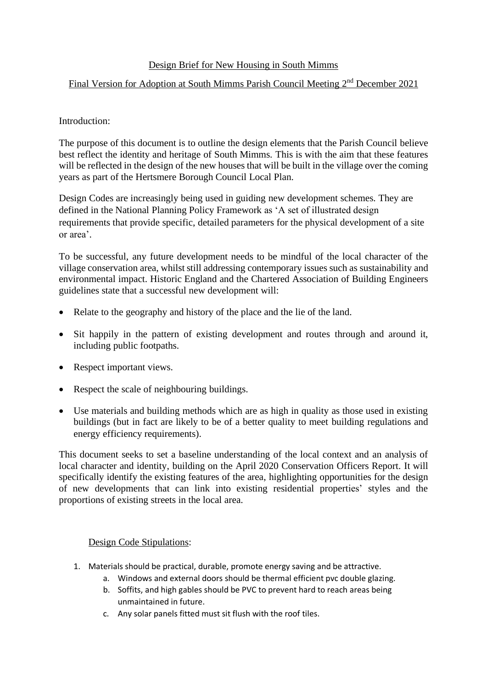## Design Brief for New Housing in South Mimms

## Final Version for Adoption at South Mimms Parish Council Meeting 2nd December 2021

## Introduction:

The purpose of this document is to outline the design elements that the Parish Council believe best reflect the identity and heritage of South Mimms. This is with the aim that these features will be reflected in the design of the new houses that will be built in the village over the coming years as part of the Hertsmere Borough Council Local Plan.

Design Codes are increasingly being used in guiding new development schemes. They are defined in the National Planning Policy Framework as 'A set of illustrated design requirements that provide specific, detailed parameters for the physical development of a site or area'.

To be successful, any future development needs to be mindful of the local character of the village conservation area, whilst still addressing contemporary issues such as sustainability and environmental impact. Historic England and the Chartered Association of Building Engineers guidelines state that a successful new development will:

- Relate to the geography and history of the place and the lie of the land.
- Sit happily in the pattern of existing development and routes through and around it, including public footpaths.
- Respect important views.
- Respect the scale of neighbouring buildings.
- Use materials and building methods which are as high in quality as those used in existing buildings (but in fact are likely to be of a better quality to meet building regulations and energy efficiency requirements).

This document seeks to set a baseline understanding of the local context and an analysis of local character and identity, building on the April 2020 Conservation Officers Report. It will specifically identify the existing features of the area, highlighting opportunities for the design of new developments that can link into existing residential properties' styles and the proportions of existing streets in the local area.

## Design Code Stipulations:

- 1. Materials should be practical, durable, promote energy saving and be attractive.
	- a. Windows and external doors should be thermal efficient pvc double glazing.
	- b. Soffits, and high gables should be PVC to prevent hard to reach areas being unmaintained in future.
	- c. Any solar panels fitted must sit flush with the roof tiles.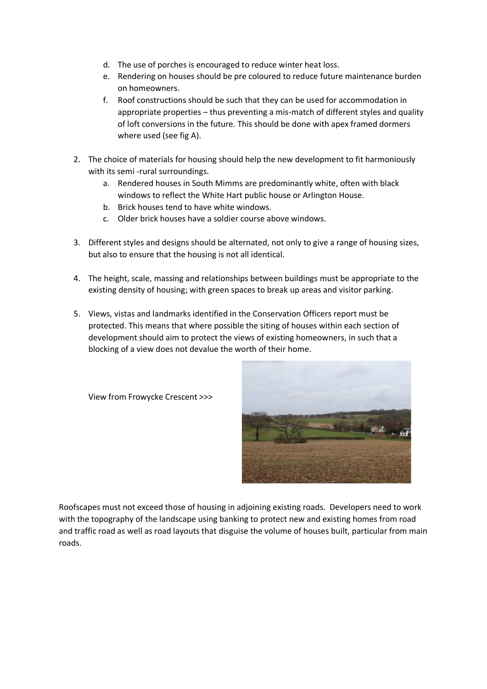- d. The use of porches is encouraged to reduce winter heat loss.
- e. Rendering on houses should be pre coloured to reduce future maintenance burden on homeowners.
- f. Roof constructions should be such that they can be used for accommodation in appropriate properties – thus preventing a mis-match of different styles and quality of loft conversions in the future. This should be done with apex framed dormers where used (see fig A).
- 2. The choice of materials for housing should help the new development to fit harmoniously with its semi -rural surroundings.
	- a. Rendered houses in South Mimms are predominantly white, often with black windows to reflect the White Hart public house or Arlington House.
	- b. Brick houses tend to have white windows.
	- c. Older brick houses have a soldier course above windows.
- 3. Different styles and designs should be alternated, not only to give a range of housing sizes, but also to ensure that the housing is not all identical.
- 4. The height, scale, massing and relationships between buildings must be appropriate to the existing density of housing; with green spaces to break up areas and visitor parking.
- 5. Views, vistas and landmarks identified in the Conservation Officers report must be protected. This means that where possible the siting of houses within each section of development should aim to protect the views of existing homeowners, in such that a blocking of a view does not devalue the worth of their home.

View from Frowycke Crescent >>>



Roofscapes must not exceed those of housing in adjoining existing roads. Developers need to work with the topography of the landscape using banking to protect new and existing homes from road and traffic road as well as road layouts that disguise the volume of houses built, particular from main roads.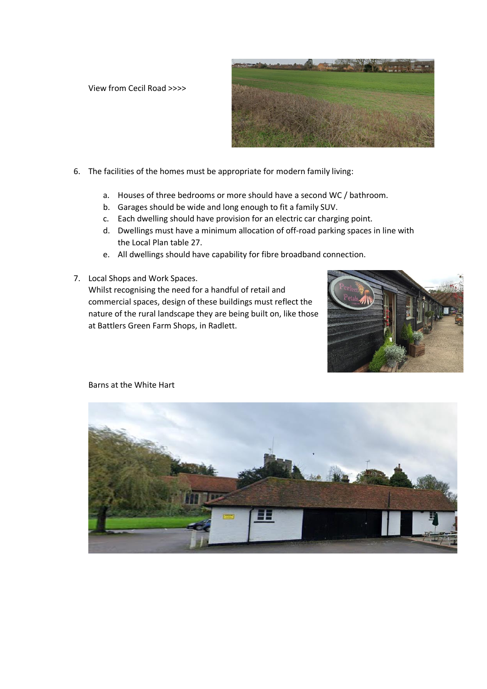View from Cecil Road >>>>



- 6. The facilities of the homes must be appropriate for modern family living:
	- a. Houses of three bedrooms or more should have a second WC / bathroom.
	- b. Garages should be wide and long enough to fit a family SUV.
	- c. Each dwelling should have provision for an electric car charging point.
	- d. Dwellings must have a minimum allocation of off-road parking spaces in line with the Local Plan table 27.
	- e. All dwellings should have capability for fibre broadband connection.
- 7. Local Shops and Work Spaces. Whilst recognising the need for a handful of retail and commercial spaces, design of these buildings must reflect the nature of the rural landscape they are being built on, like those at Battlers Green Farm Shops, in Radlett.





Barns at the White Hart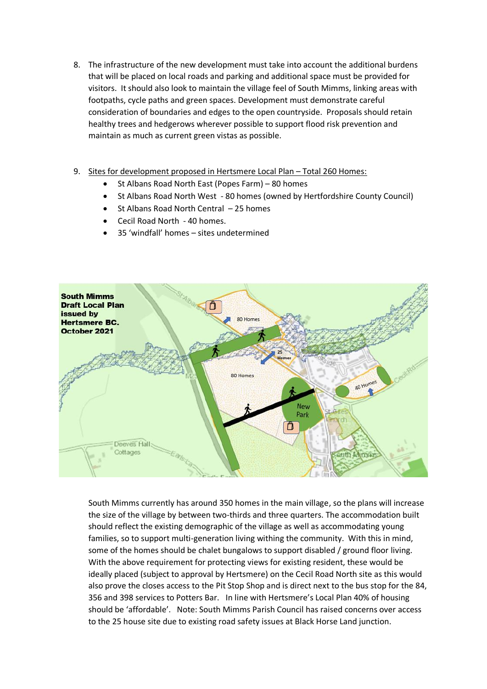- 8. The infrastructure of the new development must take into account the additional burdens that will be placed on local roads and parking and additional space must be provided for visitors. It should also look to maintain the village feel of South Mimms, linking areas with footpaths, cycle paths and green spaces. Development must demonstrate careful consideration of boundaries and edges to the open countryside. Proposals should retain healthy trees and hedgerows wherever possible to support flood risk prevention and maintain as much as current green vistas as possible.
- 9. Sites for development proposed in Hertsmere Local Plan Total 260 Homes:
	- St Albans Road North East (Popes Farm) 80 homes
	- St Albans Road North West 80 homes (owned by Hertfordshire County Council)
	- St Albans Road North Central 25 homes
	- Cecil Road North 40 homes.
	- 35 'windfall' homes sites undetermined



South Mimms currently has around 350 homes in the main village, so the plans will increase the size of the village by between two-thirds and three quarters. The accommodation built should reflect the existing demographic of the village as well as accommodating young families, so to support multi-generation living withing the community. With this in mind, some of the homes should be chalet bungalows to support disabled / ground floor living. With the above requirement for protecting views for existing resident, these would be ideally placed (subject to approval by Hertsmere) on the Cecil Road North site as this would also prove the closes access to the Pit Stop Shop and is direct next to the bus stop for the 84, 356 and 398 services to Potters Bar. In line with Hertsmere's Local Plan 40% of housing should be 'affordable'. Note: South Mimms Parish Council has raised concerns over access to the 25 house site due to existing road safety issues at Black Horse Land junction.